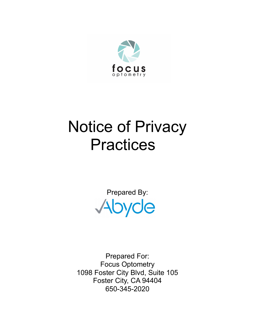

# Notice of Privacy **Practices**

Prepared By: Abyde

Prepared For: Focus Optometry 1098 Foster City Blvd, Suite 105 Foster City, CA 94404 650-345-2020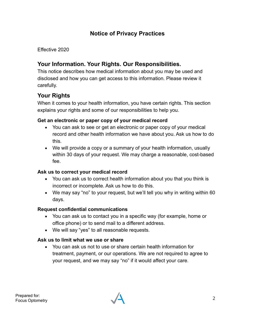# **Notice of Privacy Practices**

Effective 2020

# **Your Information. Your Rights. Our Responsibilities.**

This notice describes how medical information about you may be used and disclosed and how you can get access to this information. Please review it carefully.

# **Your Rights**

When it comes to your health information, you have certain rights. This section explains your rights and some of our responsibilities to help you.

#### **Get an electronic or paper copy of your medical record**

- You can ask to see or get an electronic or paper copy of your medical record and other health information we have about you. Ask us how to do this.
- We will provide a copy or a summary of your health information, usually within 30 days of your request. We may charge a reasonable, cost-based fee.

#### **Ask us to correct your medical record**

- You can ask us to correct health information about you that you think is incorrect or incomplete. Ask us how to do this.
- We may say "no" to your request, but we'll tell you why in writing within 60 days.

#### **Request confidential communications**

- You can ask us to contact you in a specific way (for example, home or office phone) or to send mail to a different address.
- We will say "yes" to all reasonable requests.

#### **Ask us to limit what we use or share**

 You can ask us not to use or share certain health information for treatment, payment, or our operations. We are not required to agree to your request, and we may say "no" if it would affect your care.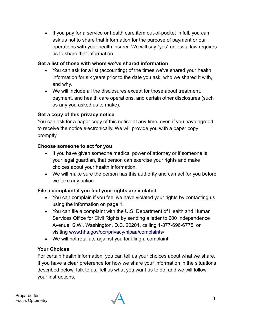• If you pay for a service or health care item out-of-pocket in full, you can ask us not to share that information for the purpose of payment or our operations with your health insurer. We will say "yes" unless a law requires us to share that information.

## **Get a list of those with whom we've shared information**

- You can ask for a list (accounting) of the times we've shared your health information for six years prior to the date you ask, who we shared it with, and why.
- We will include all the disclosures except for those about treatment, payment, and health care operations, and certain other disclosures (such as any you asked us to make).

## **Get a copy of this privacy notice**

You can ask for a paper copy of this notice at any time, even if you have agreed to receive the notice electronically. We will provide you with a paper copy promptly.

#### **Choose someone to act for you**

- If you have given someone medical power of attorney or if someone is your legal guardian, that person can exercise your rights and make choices about your health information.
- We will make sure the person has this authority and can act for you before we take any action.

#### **File a complaint if you feel your rights are violated**

- You can complain if you feel we have violated your rights by contacting us using the information on page 1.
- You can file a complaint with the U.S. Department of Health and Human Services Office for Civil Rights by sending a letter to 200 Independence Avenue, S.W., Washington, D.C. 20201, calling 1-877-696-6775, or visiting [www.hhs.gov/ocr/privacy/hipaa/complaints/.](http://www.hhs.gov/ocr/privacy/hipaa/complaints/)
- We will not retaliate against you for filing a complaint.

#### **Your Choices**

For certain health information, you can tell us your choices about what we share. If you have a clear preference for how we share your information in the situations described below, talk to us. Tell us what you want us to do, and we will follow your instructions.

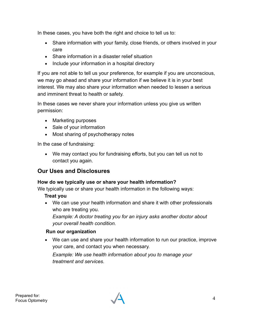In these cases, you have both the right and choice to tell us to:

- Share information with your family, close friends, or others involved in your care
- Share information in a disaster relief situation
- Include your information in a hospital directory

If you are not able to tell us your preference, for example if you are unconscious, we may go ahead and share your information if we believe it is in your best interest. We may also share your information when needed to lessen a serious and imminent threat to health or safety.

In these cases we never share your information unless you give us written permission:

- Marketing purposes
- Sale of your information
- Most sharing of psychotherapy notes

In the case of fundraising:

 We may contact you for fundraising efforts, but you can tell us not to contact you again.

# **Our Uses and Disclosures**

#### **How do we typically use or share your health information?**

We typically use or share your health information in the following ways:

#### **Treat you**

 We can use your health information and share it with other professionals who are treating you.

*Example: A doctor treating you for an injury asks another doctor about your overall health condition.*

#### **Run our organization**

 We can use and share your health information to run our practice, improve your care, and contact you when necessary.

*Example: We use health information about you to manage your treatment and services.*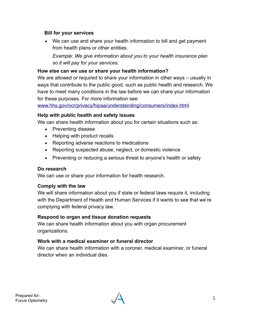#### **Bill for your services**

 We can use and share your health information to bill and get payment from health plans or other entities.

*Example: We give information about you to your health insurance plan so it will pay for your services.*

#### **How else can we use or share your health information?**

We are allowed or required to share your information in other ways – usually in ways that contribute to the public good, such as public health and research. We have to meet many conditions in the law before we can share your information for these purposes. For more information see:

[www.hhs.gov/ocr/privacy/hipaa/understanding/consumers/index.html](http://www.hhs.gov/ocr/privacy/hipaa/understanding/consumers/index.html)

#### **Help with public health and safety issues**

We can share health information about you for certain situations such as:

- Preventing disease
- Helping with product recalls
- Reporting adverse reactions to medications
- Reporting suspected abuse, neglect, or domestic violence
- Preventing or reducing a serious threat to anyone's health or safety

#### **Do research**

We can use or share your information for health research.

#### **Comply with the law**

We will share information about you if state or federal laws require it, including with the Department of Health and Human Services if it wants to see that we're complying with federal privacy law.

#### **Respond to organ and tissue donation requests**

We can share health information about you with organ procurement organizations.

#### **Work with a medical examiner or funeral director**

We can share health information with a coroner, medical examiner, or funeral director when an individual dies.